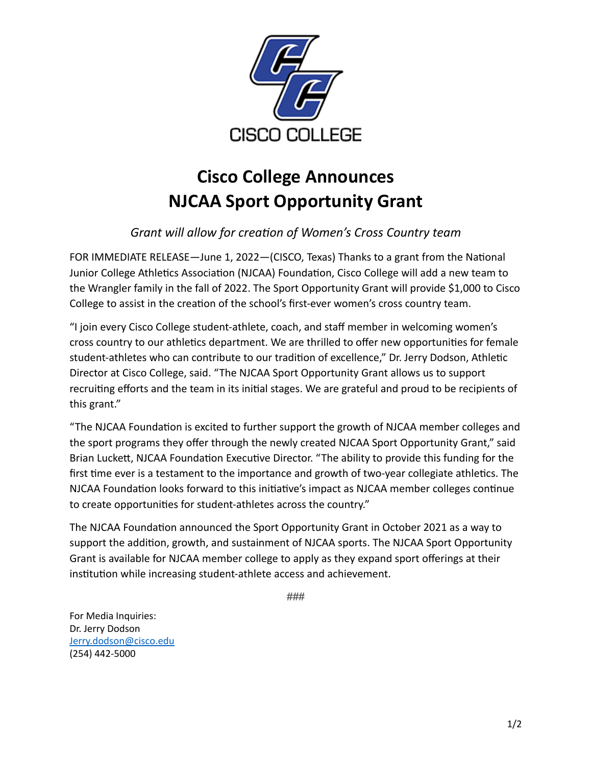

## **Cisco College Announces NJCAA Sport Opportunity Grant**

## *Grant will allow for creation of Women's Cross Country team*

FOR IMMEDIATE RELEASE—June 1, 2022—(CISCO, Texas) Thanks to a grant from the National Junior College Athletics Association (NJCAA) Foundation, Cisco College will add a new team to the Wrangler family in the fall of 2022. The Sport Opportunity Grant will provide \$1,000 to Cisco College to assist in the creation of the school's first-ever women's cross country team.

"I join every Cisco College student-athlete, coach, and staff member in welcoming women's cross country to our athletics department. We are thrilled to offer new opportunities for female student-athletes who can contribute to our tradition of excellence," Dr. Jerry Dodson, Athletic Director at Cisco College, said. "The NJCAA Sport Opportunity Grant allows us to support recruiting efforts and the team in its initial stages. We are grateful and proud to be recipients of this grant."

"The NJCAA Foundation is excited to further support the growth of NJCAA member colleges and the sport programs they offer through the newly created NJCAA Sport Opportunity Grant," said Brian Luckett, NJCAA Foundation Executive Director. "The ability to provide this funding for the first time ever is a testament to the importance and growth of two-year collegiate athletics. The NJCAA Foundation looks forward to this initiative's impact as NJCAA member colleges continue to create opportunities for student-athletes across the country."

The NJCAA Foundation announced the Sport Opportunity Grant in October 2021 as a way to support the addition, growth, and sustainment of NJCAA sports. The NJCAA Sport Opportunity Grant is available for NJCAA member college to apply as they expand sport offerings at their institution while increasing student-athlete access and achievement.

###

For Media Inquiries: Dr. Jerry Dodson [Jerry.dodson@cisco.edu](mailto:Jerry.dodson@cisco.edu) (254) 442-5000